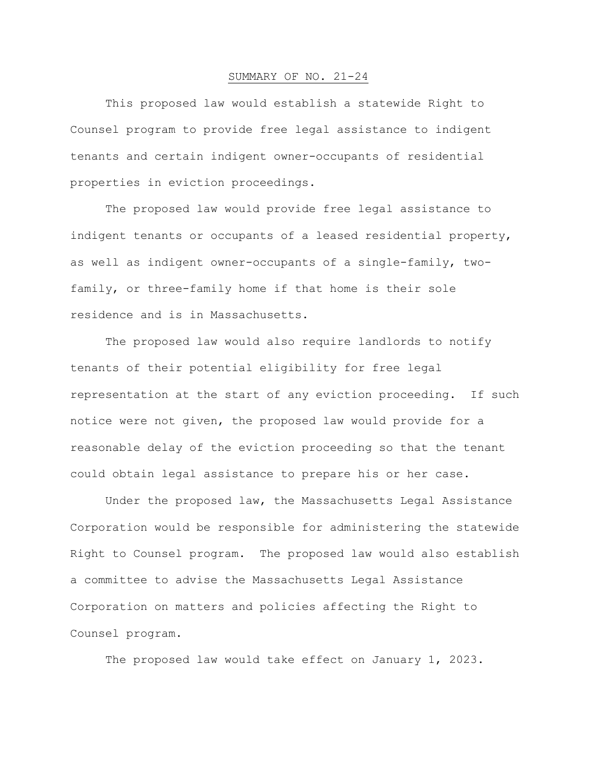## SUMMARY OF NO. 21-24

This proposed law would establish a statewide Right to Counsel program to provide free legal assistance to indigent tenants and certain indigent owner-occupants of residential properties in eviction proceedings.

The proposed law would provide free legal assistance to indigent tenants or occupants of a leased residential property, as well as indigent owner-occupants of a single-family, twofamily, or three-family home if that home is their sole residence and is in Massachusetts.

The proposed law would also require landlords to notify tenants of their potential eligibility for free legal representation at the start of any eviction proceeding. If such notice were not given, the proposed law would provide for a reasonable delay of the eviction proceeding so that the tenant could obtain legal assistance to prepare his or her case.

Under the proposed law, the Massachusetts Legal Assistance Corporation would be responsible for administering the statewide Right to Counsel program. The proposed law would also establish a committee to advise the Massachusetts Legal Assistance Corporation on matters and policies affecting the Right to Counsel program.

The proposed law would take effect on January 1, 2023.